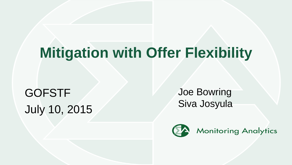# **Mitigation with Offer Flexibility**

GOFSTF July 10, 2015 Joe Bowring Siva Josyula

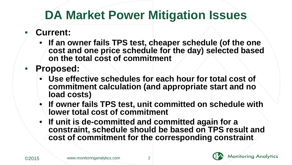## **DA Market Power Mitigation Issues**

- **Current:**
	- **If an owner fails TPS test, cheaper schedule (of the one cost and one price schedule for the day) selected based on the total cost of commitment**
- **Proposed:**
	- **Use effective schedules for each hour for total cost of commitment calculation (and appropriate start and no load costs)**
	- **If owner fails TPS test, unit committed on schedule with lower total cost of commitment**
	- **If unit is de-committed and committed again for a constraint, schedule should be based on TPS result and cost of commitment for the corresponding constraint**



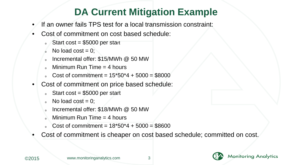### **DA Current Mitigation Example**

- If an owner fails TPS test for a local transmission constraint:
- Cost of commitment on cost based schedule:
	- Start cost =  $$5000$  per start
	- $\delta$  No load cost = 0;
	- $\delta$  Incremental offer: \$15/MWh @ 50 MW
	- Minimum Run Time  $=$  4 hours
	- Cost of commitment =  $15*50*4 + 5000 = $8000$
- Cost of commitment on price based schedule:
	- Start cost =  $$5000$  per start
	- $\circ$  No load cost = 0;
	- Incremental offer: \$18/MWh @ 50 MW
	- Minimum Run Time  $=$  4 hours
	- Cost of commitment =  $18*50*4 + 5000 = $8600$
- Cost of commitment is cheaper on cost based schedule; committed on cost.

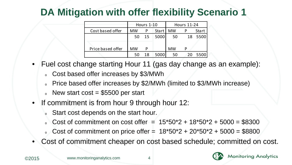## **DA Mitigation with offer flexibility Scenario 1**

|                   | <b>Hours 1-10</b> |    |       | Hours 11-24 |     |       |
|-------------------|-------------------|----|-------|-------------|-----|-------|
| Cost based offer  | <b>MW</b>         |    | Start | <b>MW</b>   |     | Start |
|                   | 50                | 15 | 5000  | -50         | 18  | 5500  |
| Price based offer | <b>MW</b>         | D  |       | <b>MW</b>   | D   |       |
|                   | 50                | 18 | 5000  | 50          | -20 | 5500  |

- Fuel cost change starting Hour 11 (gas day change as an example):
	- o Cost based offer increases by \$3/MWh
	- <sup>o</sup> Price based offer increases by \$2/MWh (limited to \$3/MWh increase)
	- $\epsilon$  New start cost = \$5500 per start
- If commitment is from hour 9 through hour 12:
	- Start cost depends on the start hour.
	- $\degree$  Cost of commitment on cost offer =  $15*50*2 + 18*50*2 + 5000 = $8300$
	- $\degree$  Cost of commitment on price offer =  $18*50*2 + 20*50*2 + 5000 = $8800$
- Cost of commitment cheaper on cost based schedule; committed on cost.

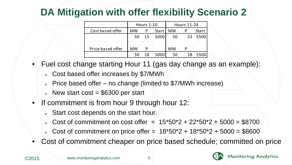## **DA Mitigation with offer flexibility Scenario 2**

|                   |           | Hours $1-10$ |       | <b>Hours 11-24</b> |    |         |
|-------------------|-----------|--------------|-------|--------------------|----|---------|
| Cost based offer  | <b>MW</b> |              | Start | <b>MW</b>          |    | Start   |
|                   | 50        | - 15         | 5000  | -50                |    | 22 5500 |
| Price based offer | MW        | D            |       | <b>MW</b>          | D  |         |
|                   | 50        | 18           | 5000  | 50                 | 18 | 5500    |

- Fuel cost change starting Hour 11 (gas day change as an example):
	- o Cost based offer increases by \$7/MWh
	- $\epsilon$  Price based offer no change (limited to \$7/MWh increase)
	- $\epsilon$  New start cost = \$6300 per start
- If commitment is from hour 9 through hour 12:
	- Start cost depends on the start hour.
	- $\degree$  Cost of commitment on cost offer =  $15*50*2 + 22*50*2 + 5000 = $8700$
	- $\degree$  Cost of commitment on price offer =  $18*50*2 + 18*50*2 + 5000 = $8600$
- Cost of commitment cheaper on price based schedule; committed on price

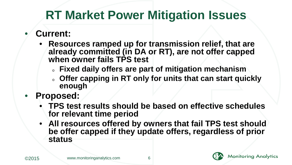## **RT Market Power Mitigation Issues**

#### • **Current:**

- **Resources ramped up for transmission relief, that are already committed (in DA or RT), are not offer capped when owner fails TPS test**
	- <sup>o</sup> **Fixed daily offers are part of mitigation mechanism**
	- offer capping in RT only for units that can start quickly **enough**
- **Proposed:**
	- **TPS test results should be based on effective schedules for relevant time period**
	- **All resources offered by owners that fail TPS test should be offer capped if they update offers, regardless of prior status**



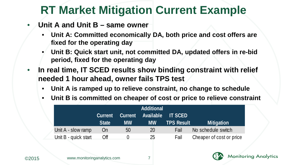## **RT Market Mitigation Current Example**

- **Unit A and Unit B same owner**
	- **Unit A: Committed economically DA, both price and cost offers are fixed for the operating day**
	- **Unit B: Quick start unit, not committed DA, updated offers in re-bid period, fixed for the operating day**
- **In real time, IT SCED results show binding constraint with relief needed 1 hour ahead, owner fails TPS test**
	- **Unit A is ramped up to relieve constraint, no change to schedule**
	- **Unit B is committed on cheaper of cost or price to relieve constraint**

|                      |              |           | <b>Additional</b> |                   |                          |
|----------------------|--------------|-----------|-------------------|-------------------|--------------------------|
|                      | Current      | Current   | <b>Available</b>  | <b>IT SCED</b>    |                          |
|                      | <b>State</b> | <b>MW</b> | <b>MW</b>         | <b>TPS Result</b> | <b>Mitigation</b>        |
| Unit A - slow ramp   | On           | 50        | 20                | Fail              | No schedule switch       |
| Unit B - quick start | Off          |           | 25                | Fail              | Cheaper of cost or price |



**Monitoring Analytics**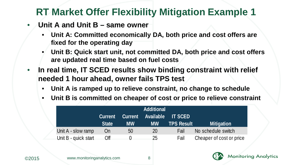### **RT Market Offer Flexibility Mitigation Example 1**

- **Unit A and Unit B same owner**
	- **Unit A: Committed economically DA, both price and cost offers are fixed for the operating day**
	- **Unit B: Quick start unit, not committed DA, both price and cost offers are updated real time based on fuel costs**
- **In real time, IT SCED results show binding constraint with relief needed 1 hour ahead, owner fails TPS test**
	- **Unit A is ramped up to relieve constraint, no change to schedule**
	- **Unit B is committed on cheaper of cost or price to relieve constraint**

|                      |                |                | <b>Additional</b> |                   |                          |
|----------------------|----------------|----------------|-------------------|-------------------|--------------------------|
|                      | <b>Current</b> | <b>Current</b> | Available         | <b>IT SCED</b>    |                          |
|                      | <b>State</b>   | <b>MW</b>      | <b>MW</b>         | <b>TPS Result</b> | <b>Mitigation</b>        |
| Unit A - slow ramp   | On             | 50             | 20                | Fail              | No schedule switch       |
| Unit B - quick start | Off            |                | 25                | Fail              | Cheaper of cost or price |



**Monitoring Analytics**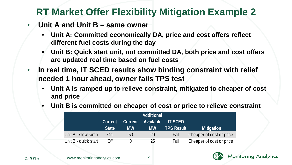### **RT Market Offer Flexibility Mitigation Example 2**

- **Unit A and Unit B same owner**
	- **Unit A: Committed economically DA, price and cost offers reflect different fuel costs during the day**
	- **Unit B: Quick start unit, not committed DA, both price and cost offers are updated real time based on fuel costs**
- **In real time, IT SCED results show binding constraint with relief needed 1 hour ahead, owner fails TPS test**
	- **Unit A is ramped up to relieve constraint, mitigated to cheaper of cost and price**
	- **Unit B is committed on cheaper of cost or price to relieve constraint**

| <b>Additional</b>    |              |           |           |                   |                          |  |
|----------------------|--------------|-----------|-----------|-------------------|--------------------------|--|
|                      | Current      | Current   | Available | <b>IT SCED</b>    |                          |  |
|                      | <b>State</b> | <b>MW</b> | <b>MW</b> | <b>TPS Result</b> | <b>Mitigation</b>        |  |
| Unit A - slow ramp   | On           | 50        | 20        | Fail              | Cheaper of cost or price |  |
| Unit B - quick start | Off          |           | 25        | Fail              | Cheaper of cost or price |  |



**Monitoring Analytics**